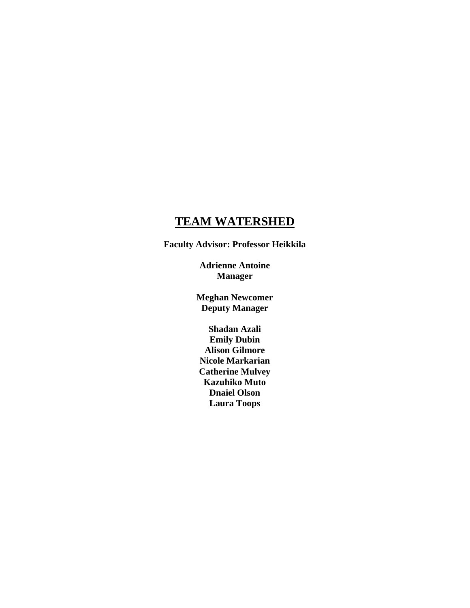# **TEAM WATERSHED**

**Faculty Advisor: Professor Heikkila** 

**Adrienne Antoine Manager** 

**Meghan Newcomer Deputy Manager** 

**Shadan Azali Emily Dubin Alison Gilmore Nicole Markarian Catherine Mulvey Kazuhiko Muto Dnaiel Olson Laura Toops**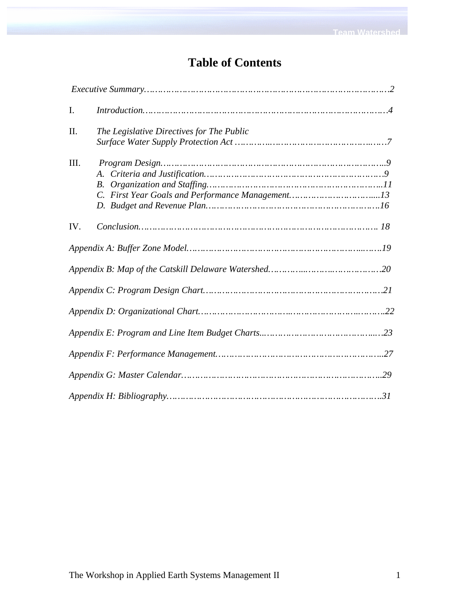# **Table of Contents**

| $\mathbf{I}$ . |                                           |  |
|----------------|-------------------------------------------|--|
| II.            | The Legislative Directives for The Public |  |
| III.           | A.<br><i>B</i> .                          |  |
| IV.            |                                           |  |
|                |                                           |  |
|                |                                           |  |
|                |                                           |  |
|                |                                           |  |
|                |                                           |  |
|                |                                           |  |
|                |                                           |  |
|                |                                           |  |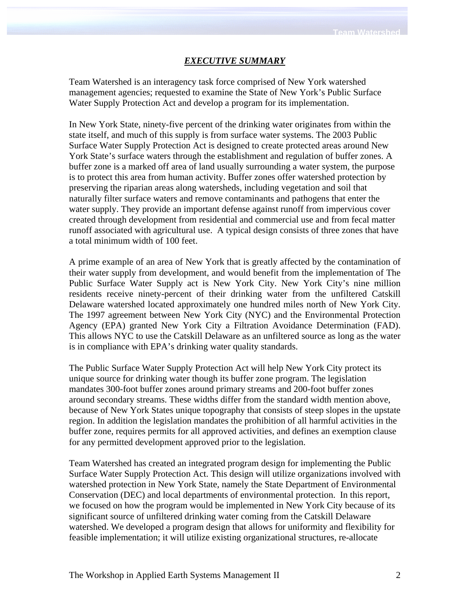#### *EXECUTIVE SUMMARY*

Team Watershed is an interagency task force comprised of New York watershed management agencies; requested to examine the State of New York's Public Surface Water Supply Protection Act and develop a program for its implementation.

In New York State, ninety-five percent of the drinking water originates from within the state itself, and much of this supply is from surface water systems. The 2003 Public Surface Water Supply Protection Act is designed to create protected areas around New York State's surface waters through the establishment and regulation of buffer zones. A buffer zone is a marked off area of land usually surrounding a water system, the purpose is to protect this area from human activity. Buffer zones offer watershed protection by preserving the riparian areas along watersheds, including vegetation and soil that naturally filter surface waters and remove contaminants and pathogens that enter the water supply. They provide an important defense against runoff from impervious cover created through development from residential and commercial use and from fecal matter runoff associated with agricultural use. A typical design consists of three zones that have a total minimum width of 100 feet.

A prime example of an area of New York that is greatly affected by the contamination of their water supply from development, and would benefit from the implementation of The Public Surface Water Supply act is New York City. New York City's nine million residents receive ninety-percent of their drinking water from the unfiltered Catskill Delaware watershed located approximately one hundred miles north of New York City. The 1997 agreement between New York City (NYC) and the Environmental Protection Agency (EPA) granted New York City a Filtration Avoidance Determination (FAD). This allows NYC to use the Catskill Delaware as an unfiltered source as long as the water is in compliance with EPA's drinking water quality standards.

The Public Surface Water Supply Protection Act will help New York City protect its unique source for drinking water though its buffer zone program. The legislation mandates 300-foot buffer zones around primary streams and 200-foot buffer zones around secondary streams. These widths differ from the standard width mention above, because of New York States unique topography that consists of steep slopes in the upstate region. In addition the legislation mandates the prohibition of all harmful activities in the buffer zone, requires permits for all approved activities, and defines an exemption clause for any permitted development approved prior to the legislation.

Team Watershed has created an integrated program design for implementing the Public Surface Water Supply Protection Act. This design will utilize organizations involved with watershed protection in New York State, namely the State Department of Environmental Conservation (DEC) and local departments of environmental protection. In this report, we focused on how the program would be implemented in New York City because of its significant source of unfiltered drinking water coming from the Catskill Delaware watershed. We developed a program design that allows for uniformity and flexibility for feasible implementation; it will utilize existing organizational structures, re-allocate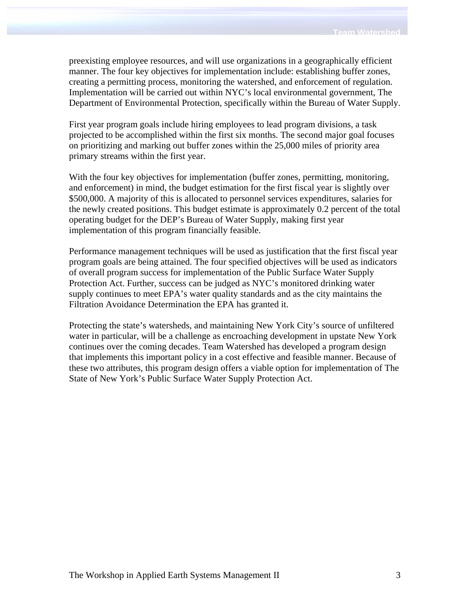preexisting employee resources, and will use organizations in a geographically efficient manner. The four key objectives for implementation include: establishing buffer zones, creating a permitting process, monitoring the watershed, and enforcement of regulation. Implementation will be carried out within NYC's local environmental government, The Department of Environmental Protection, specifically within the Bureau of Water Supply.

First year program goals include hiring employees to lead program divisions, a task projected to be accomplished within the first six months. The second major goal focuses on prioritizing and marking out buffer zones within the 25,000 miles of priority area primary streams within the first year.

With the four key objectives for implementation (buffer zones, permitting, monitoring, and enforcement) in mind, the budget estimation for the first fiscal year is slightly over \$500,000. A majority of this is allocated to personnel services expenditures, salaries for the newly created positions. This budget estimate is approximately 0.2 percent of the total operating budget for the DEP's Bureau of Water Supply, making first year implementation of this program financially feasible.

Performance management techniques will be used as justification that the first fiscal year program goals are being attained. The four specified objectives will be used as indicators of overall program success for implementation of the Public Surface Water Supply Protection Act. Further, success can be judged as NYC's monitored drinking water supply continues to meet EPA's water quality standards and as the city maintains the Filtration Avoidance Determination the EPA has granted it.

Protecting the state's watersheds, and maintaining New York City's source of unfiltered water in particular, will be a challenge as encroaching development in upstate New York continues over the coming decades. Team Watershed has developed a program design that implements this important policy in a cost effective and feasible manner. Because of these two attributes, this program design offers a viable option for implementation of The State of New York's Public Surface Water Supply Protection Act.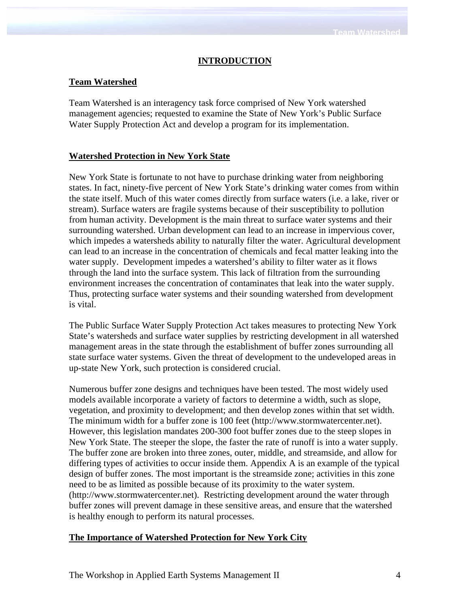# **INTRODUCTION**

# **Team Watershed**

Team Watershed is an interagency task force comprised of New York watershed management agencies; requested to examine the State of New York's Public Surface Water Supply Protection Act and develop a program for its implementation.

# **Watershed Protection in New York State**

New York State is fortunate to not have to purchase drinking water from neighboring states. In fact, ninety-five percent of New York State's drinking water comes from within the state itself. Much of this water comes directly from surface waters (i.e. a lake, river or stream). Surface waters are fragile systems because of their susceptibility to pollution from human activity. Development is the main threat to surface water systems and their surrounding watershed. Urban development can lead to an increase in impervious cover, which impedes a watersheds ability to naturally filter the water. Agricultural development can lead to an increase in the concentration of chemicals and fecal matter leaking into the water supply. Development impedes a watershed's ability to filter water as it flows through the land into the surface system. This lack of filtration from the surrounding environment increases the concentration of contaminates that leak into the water supply. Thus, protecting surface water systems and their sounding watershed from development is vital.

The Public Surface Water Supply Protection Act takes measures to protecting New York State's watersheds and surface water supplies by restricting development in all watershed management areas in the state through the establishment of buffer zones surrounding all state surface water systems. Given the threat of development to the undeveloped areas in up-state New York, such protection is considered crucial.

Numerous buffer zone designs and techniques have been tested. The most widely used models available incorporate a variety of factors to determine a width, such as slope, vegetation, and proximity to development; and then develop zones within that set width. The minimum width for a buffer zone is 100 feet (http://www.stormwatercenter.net). However, this legislation mandates 200-300 foot buffer zones due to the steep slopes in New York State. The steeper the slope, the faster the rate of runoff is into a water supply. The buffer zone are broken into three zones, outer, middle, and streamside, and allow for differing types of activities to occur inside them. Appendix A is an example of the typical design of buffer zones. The most important is the streamside zone; activities in this zone need to be as limited as possible because of its proximity to the water system. (http://www.stormwatercenter.net). Restricting development around the water through buffer zones will prevent damage in these sensitive areas, and ensure that the watershed is healthy enough to perform its natural processes.

## **The Importance of Watershed Protection for New York City**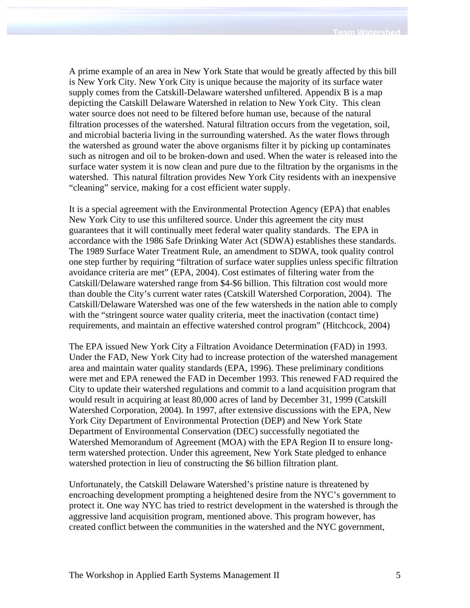A prime example of an area in New York State that would be greatly affected by this bill is New York City. New York City is unique because the majority of its surface water supply comes from the Catskill-Delaware watershed unfiltered. Appendix B is a map depicting the Catskill Delaware Watershed in relation to New York City. This clean water source does not need to be filtered before human use, because of the natural filtration processes of the watershed. Natural filtration occurs from the vegetation, soil, and microbial bacteria living in the surrounding watershed. As the water flows through the watershed as ground water the above organisms filter it by picking up contaminates such as nitrogen and oil to be broken-down and used. When the water is released into the surface water system it is now clean and pure due to the filtration by the organisms in the watershed. This natural filtration provides New York City residents with an inexpensive "cleaning" service, making for a cost efficient water supply.

It is a special agreement with the Environmental Protection Agency (EPA) that enables New York City to use this unfiltered source. Under this agreement the city must guarantees that it will continually meet federal water quality standards. The EPA in accordance with the 1986 Safe Drinking Water Act (SDWA) establishes these standards. The 1989 Surface Water Treatment Rule, an amendment to SDWA, took quality control one step further by requiring "filtration of surface water supplies unless specific filtration avoidance criteria are met" (EPA, 2004). Cost estimates of filtering water from the Catskill/Delaware watershed range from \$4-\$6 billion. This filtration cost would more than double the City's current water rates (Catskill Watershed Corporation, 2004). The Catskill/Delaware Watershed was one of the few watersheds in the nation able to comply with the "stringent source water quality criteria, meet the inactivation (contact time) requirements, and maintain an effective watershed control program" (Hitchcock, 2004)

The EPA issued New York City a Filtration Avoidance Determination (FAD) in 1993. Under the FAD, New York City had to increase protection of the watershed management area and maintain water quality standards (EPA, 1996). These preliminary conditions were met and EPA renewed the FAD in December 1993. This renewed FAD required the City to update their watershed regulations and commit to a land acquisition program that would result in acquiring at least 80,000 acres of land by December 31, 1999 (Catskill Watershed Corporation, 2004). In 1997, after extensive discussions with the EPA, New York City Department of Environmental Protection (DEP) and New York State Department of Environmental Conservation (DEC) successfully negotiated the Watershed Memorandum of Agreement (MOA) with the EPA Region II to ensure longterm watershed protection. Under this agreement, New York State pledged to enhance watershed protection in lieu of constructing the \$6 billion filtration plant.

Unfortunately, the Catskill Delaware Watershed's pristine nature is threatened by encroaching development prompting a heightened desire from the NYC's government to protect it. One way NYC has tried to restrict development in the watershed is through the aggressive land acquisition program, mentioned above. This program however, has created conflict between the communities in the watershed and the NYC government,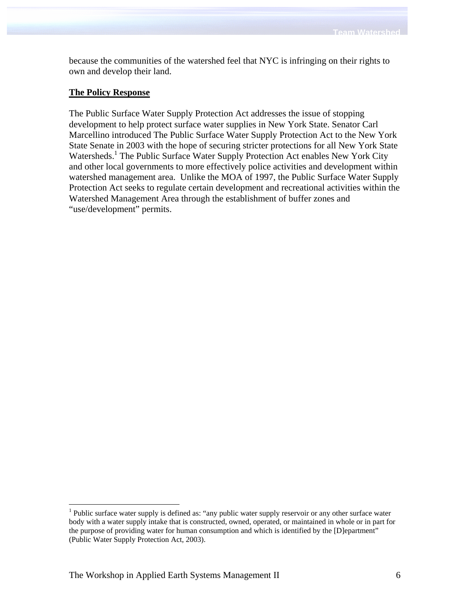because the communities of the watershed feel that NYC is infringing on their rights to own and develop their land.

# **The Policy Response**

The Public Surface Water Supply Protection Act addresses the issue of stopping development to help protect surface water supplies in New York State. Senator Carl Marcellino introduced The Public Surface Water Supply Protection Act to the New York State Senate in 2003 with the hope of securing stricter protections for all New York State Watersheds.<sup>1</sup> The Public Surface Water Supply Protection Act enables New York City and other local governments to more effectively police activities and development within watershed management area. Unlike the MOA of 1997, the Public Surface Water Supply Protection Act seeks to regulate certain development and recreational activities within the Watershed Management Area through the establishment of buffer zones and "use/development" permits.

1

<sup>&</sup>lt;sup>1</sup> Public surface water supply is defined as: "any public water supply reservoir or any other surface water body with a water supply intake that is constructed, owned, operated, or maintained in whole or in part for the purpose of providing water for human consumption and which is identified by the [D]epartment" (Public Water Supply Protection Act, 2003).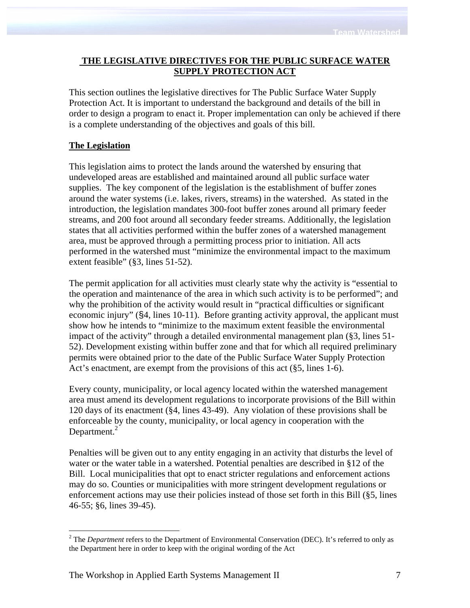# **THE LEGISLATIVE DIRECTIVES FOR THE PUBLIC SURFACE WATER SUPPLY PROTECTION ACT**

This section outlines the legislative directives for The Public Surface Water Supply Protection Act. It is important to understand the background and details of the bill in order to design a program to enact it. Proper implementation can only be achieved if there is a complete understanding of the objectives and goals of this bill.

# **The Legislation**

1

This legislation aims to protect the lands around the watershed by ensuring that undeveloped areas are established and maintained around all public surface water supplies. The key component of the legislation is the establishment of buffer zones around the water systems (i.e. lakes, rivers, streams) in the watershed. As stated in the introduction, the legislation mandates 300-foot buffer zones around all primary feeder streams, and 200 foot around all secondary feeder streams. Additionally, the legislation states that all activities performed within the buffer zones of a watershed management area, must be approved through a permitting process prior to initiation. All acts performed in the watershed must "minimize the environmental impact to the maximum extent feasible" (§3, lines 51-52).

The permit application for all activities must clearly state why the activity is "essential to the operation and maintenance of the area in which such activity is to be performed"; and why the prohibition of the activity would result in "practical difficulties or significant economic injury" (§4, lines 10-11). Before granting activity approval, the applicant must show how he intends to "minimize to the maximum extent feasible the environmental impact of the activity" through a detailed environmental management plan (§3, lines 51- 52). Development existing within buffer zone and that for which all required preliminary permits were obtained prior to the date of the Public Surface Water Supply Protection Act's enactment, are exempt from the provisions of this act (§5, lines 1-6).

Every county, municipality, or local agency located within the watershed management area must amend its development regulations to incorporate provisions of the Bill within 120 days of its enactment (§4, lines 43-49). Any violation of these provisions shall be enforceable by the county, municipality, or local agency in cooperation with the Department. $<sup>2</sup>$ </sup>

Penalties will be given out to any entity engaging in an activity that disturbs the level of water or the water table in a watershed. Potential penalties are described in §12 of the Bill. Local municipalities that opt to enact stricter regulations and enforcement actions may do so. Counties or municipalities with more stringent development regulations or enforcement actions may use their policies instead of those set forth in this Bill (§5, lines 46-55; §6, lines 39-45).

<sup>&</sup>lt;sup>2</sup> The *Department* refers to the Department of Environmental Conservation (DEC). It's referred to only as the Department here in order to keep with the original wording of the Act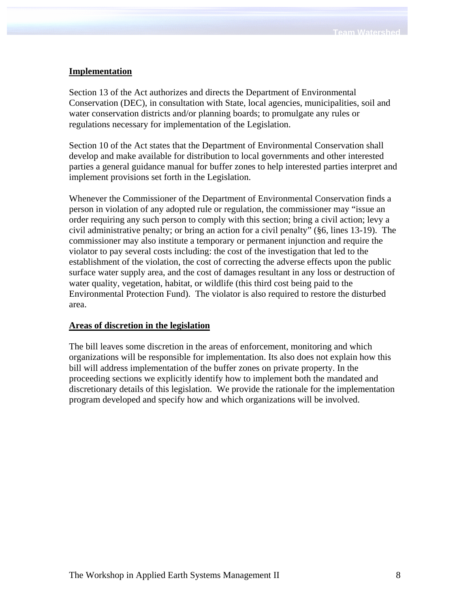# **Implementation**

Section 13 of the Act authorizes and directs the Department of Environmental Conservation (DEC), in consultation with State, local agencies, municipalities, soil and water conservation districts and/or planning boards; to promulgate any rules or regulations necessary for implementation of the Legislation.

Section 10 of the Act states that the Department of Environmental Conservation shall develop and make available for distribution to local governments and other interested parties a general guidance manual for buffer zones to help interested parties interpret and implement provisions set forth in the Legislation.

Whenever the Commissioner of the Department of Environmental Conservation finds a person in violation of any adopted rule or regulation, the commissioner may "issue an order requiring any such person to comply with this section; bring a civil action; levy a civil administrative penalty; or bring an action for a civil penalty" (§6, lines 13-19). The commissioner may also institute a temporary or permanent injunction and require the violator to pay several costs including: the cost of the investigation that led to the establishment of the violation, the cost of correcting the adverse effects upon the public surface water supply area, and the cost of damages resultant in any loss or destruction of water quality, vegetation, habitat, or wildlife (this third cost being paid to the Environmental Protection Fund). The violator is also required to restore the disturbed area.

## **Areas of discretion in the legislation**

The bill leaves some discretion in the areas of enforcement, monitoring and which organizations will be responsible for implementation. Its also does not explain how this bill will address implementation of the buffer zones on private property. In the proceeding sections we explicitly identify how to implement both the mandated and discretionary details of this legislation. We provide the rationale for the implementation program developed and specify how and which organizations will be involved.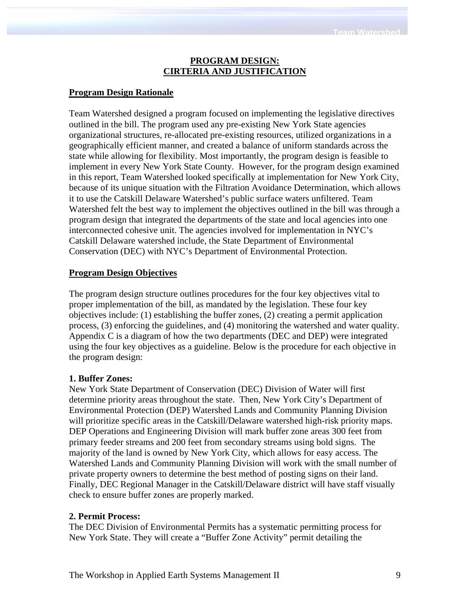#### **PROGRAM DESIGN: CIRTERIA AND JUSTIFICATION**

#### **Program Design Rationale**

Team Watershed designed a program focused on implementing the legislative directives outlined in the bill. The program used any pre-existing New York State agencies organizational structures, re-allocated pre-existing resources, utilized organizations in a geographically efficient manner, and created a balance of uniform standards across the state while allowing for flexibility. Most importantly, the program design is feasible to implement in every New York State County. However, for the program design examined in this report, Team Watershed looked specifically at implementation for New York City, because of its unique situation with the Filtration Avoidance Determination, which allows it to use the Catskill Delaware Watershed's public surface waters unfiltered. Team Watershed felt the best way to implement the objectives outlined in the bill was through a program design that integrated the departments of the state and local agencies into one interconnected cohesive unit. The agencies involved for implementation in NYC's Catskill Delaware watershed include, the State Department of Environmental Conservation (DEC) with NYC's Department of Environmental Protection.

#### **Program Design Objectives**

The program design structure outlines procedures for the four key objectives vital to proper implementation of the bill, as mandated by the legislation. These four key objectives include: (1) establishing the buffer zones, (2) creating a permit application process, (3) enforcing the guidelines, and (4) monitoring the watershed and water quality. Appendix C is a diagram of how the two departments (DEC and DEP) were integrated using the four key objectives as a guideline. Below is the procedure for each objective in the program design:

#### **1. Buffer Zones:**

New York State Department of Conservation (DEC) Division of Water will first determine priority areas throughout the state. Then, New York City's Department of Environmental Protection (DEP) Watershed Lands and Community Planning Division will prioritize specific areas in the Catskill/Delaware watershed high-risk priority maps. DEP Operations and Engineering Division will mark buffer zone areas 300 feet from primary feeder streams and 200 feet from secondary streams using bold signs. The majority of the land is owned by New York City, which allows for easy access. The Watershed Lands and Community Planning Division will work with the small number of private property owners to determine the best method of posting signs on their land. Finally, DEC Regional Manager in the Catskill/Delaware district will have staff visually check to ensure buffer zones are properly marked.

#### **2. Permit Process:**

The DEC Division of Environmental Permits has a systematic permitting process for New York State. They will create a "Buffer Zone Activity" permit detailing the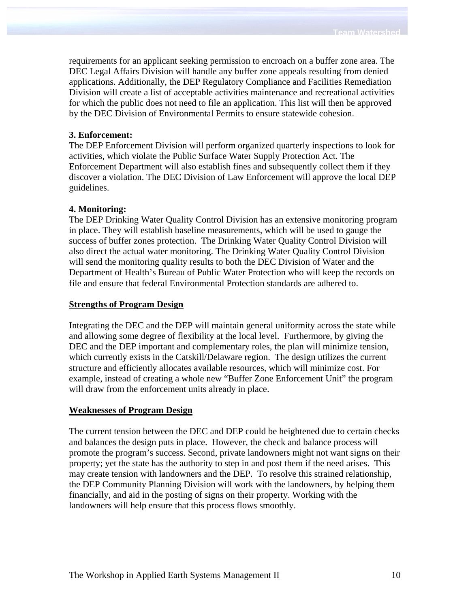requirements for an applicant seeking permission to encroach on a buffer zone area. The DEC Legal Affairs Division will handle any buffer zone appeals resulting from denied applications. Additionally, the DEP Regulatory Compliance and Facilities Remediation Division will create a list of acceptable activities maintenance and recreational activities for which the public does not need to file an application. This list will then be approved by the DEC Division of Environmental Permits to ensure statewide cohesion.

#### **3. Enforcement:**

The DEP Enforcement Division will perform organized quarterly inspections to look for activities, which violate the Public Surface Water Supply Protection Act. The Enforcement Department will also establish fines and subsequently collect them if they discover a violation. The DEC Division of Law Enforcement will approve the local DEP guidelines.

#### **4. Monitoring:**

The DEP Drinking Water Quality Control Division has an extensive monitoring program in place. They will establish baseline measurements, which will be used to gauge the success of buffer zones protection. The Drinking Water Quality Control Division will also direct the actual water monitoring. The Drinking Water Quality Control Division will send the monitoring quality results to both the DEC Division of Water and the Department of Health's Bureau of Public Water Protection who will keep the records on file and ensure that federal Environmental Protection standards are adhered to.

#### **Strengths of Program Design**

Integrating the DEC and the DEP will maintain general uniformity across the state while and allowing some degree of flexibility at the local level. Furthermore, by giving the DEC and the DEP important and complementary roles, the plan will minimize tension, which currently exists in the Catskill/Delaware region. The design utilizes the current structure and efficiently allocates available resources, which will minimize cost. For example, instead of creating a whole new "Buffer Zone Enforcement Unit" the program will draw from the enforcement units already in place.

#### **Weaknesses of Program Design**

The current tension between the DEC and DEP could be heightened due to certain checks and balances the design puts in place. However, the check and balance process will promote the program's success. Second, private landowners might not want signs on their property; yet the state has the authority to step in and post them if the need arises. This may create tension with landowners and the DEP. To resolve this strained relationship, the DEP Community Planning Division will work with the landowners, by helping them financially, and aid in the posting of signs on their property. Working with the landowners will help ensure that this process flows smoothly.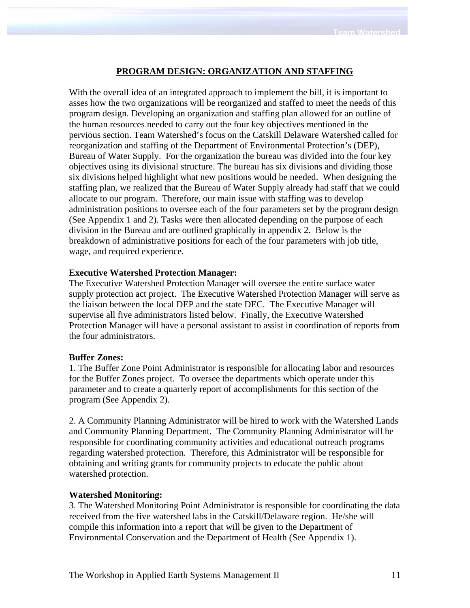# **PROGRAM DESIGN: ORGANIZATION AND STAFFING**

With the overall idea of an integrated approach to implement the bill, it is important to asses how the two organizations will be reorganized and staffed to meet the needs of this program design. Developing an organization and staffing plan allowed for an outline of the human resources needed to carry out the four key objectives mentioned in the pervious section. Team Watershed's focus on the Catskill Delaware Watershed called for reorganization and staffing of the Department of Environmental Protection's (DEP), Bureau of Water Supply. For the organization the bureau was divided into the four key objectives using its divisional structure. The bureau has six divisions and dividing those six divisions helped highlight what new positions would be needed. When designing the staffing plan, we realized that the Bureau of Water Supply already had staff that we could allocate to our program. Therefore, our main issue with staffing was to develop administration positions to oversee each of the four parameters set by the program design (See Appendix 1 and 2). Tasks were then allocated depending on the purpose of each division in the Bureau and are outlined graphically in appendix 2. Below is the breakdown of administrative positions for each of the four parameters with job title, wage, and required experience.

#### **Executive Watershed Protection Manager:**

The Executive Watershed Protection Manager will oversee the entire surface water supply protection act project. The Executive Watershed Protection Manager will serve as the liaison between the local DEP and the state DEC. The Executive Manager will supervise all five administrators listed below. Finally, the Executive Watershed Protection Manager will have a personal assistant to assist in coordination of reports from the four administrators.

#### **Buffer Zones:**

1. The Buffer Zone Point Administrator is responsible for allocating labor and resources for the Buffer Zones project. To oversee the departments which operate under this parameter and to create a quarterly report of accomplishments for this section of the program (See Appendix 2).

2. A Community Planning Administrator will be hired to work with the Watershed Lands and Community Planning Department. The Community Planning Administrator will be responsible for coordinating community activities and educational outreach programs regarding watershed protection. Therefore, this Administrator will be responsible for obtaining and writing grants for community projects to educate the public about watershed protection.

#### **Watershed Monitoring:**

3. The Watershed Monitoring Point Administrator is responsible for coordinating the data received from the five watershed labs in the Catskill/Delaware region. He/she will compile this information into a report that will be given to the Department of Environmental Conservation and the Department of Health (See Appendix 1).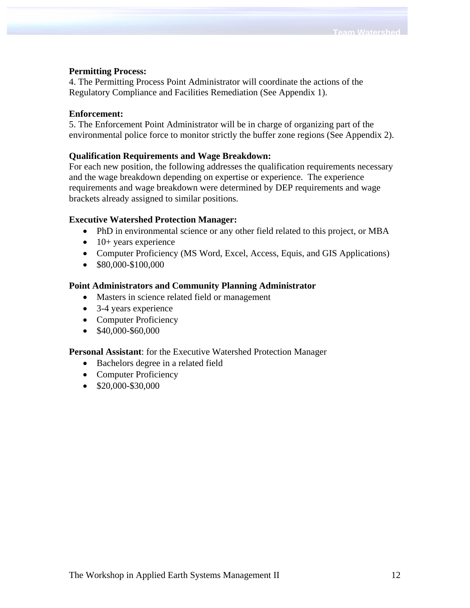## **Permitting Process:**

4. The Permitting Process Point Administrator will coordinate the actions of the Regulatory Compliance and Facilities Remediation (See Appendix 1).

#### **Enforcement:**

5. The Enforcement Point Administrator will be in charge of organizing part of the environmental police force to monitor strictly the buffer zone regions (See Appendix 2).

## **Qualification Requirements and Wage Breakdown:**

For each new position, the following addresses the qualification requirements necessary and the wage breakdown depending on expertise or experience. The experience requirements and wage breakdown were determined by DEP requirements and wage brackets already assigned to similar positions.

## **Executive Watershed Protection Manager:**

- PhD in environmental science or any other field related to this project, or MBA
- $\bullet$  10+ years experience
- Computer Proficiency (MS Word, Excel, Access, Equis, and GIS Applications)
- \$80,000-\$100,000

#### **Point Administrators and Community Planning Administrator**

- Masters in science related field or management
- 3-4 years experience
- Computer Proficiency
- \$40,000-\$60,000

#### **Personal Assistant**: for the Executive Watershed Protection Manager

- Bachelors degree in a related field
- Computer Proficiency
- \$20,000-\$30,000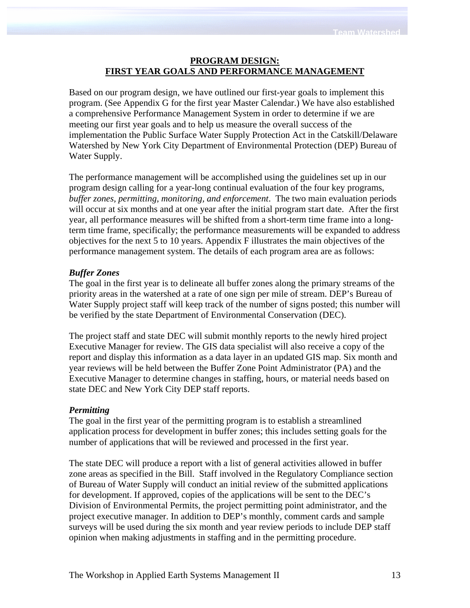# **PROGRAM DESIGN: FIRST YEAR GOALS AND PERFORMANCE MANAGEMENT**

Based on our program design, we have outlined our first-year goals to implement this program. (See Appendix G for the first year Master Calendar.) We have also established a comprehensive Performance Management System in order to determine if we are meeting our first year goals and to help us measure the overall success of the implementation the Public Surface Water Supply Protection Act in the Catskill/Delaware Watershed by New York City Department of Environmental Protection (DEP) Bureau of Water Supply.

The performance management will be accomplished using the guidelines set up in our program design calling for a year-long continual evaluation of the four key programs, *buffer zones, permitting, monitoring, and enforcement*. The two main evaluation periods will occur at six months and at one year after the initial program start date. After the first year, all performance measures will be shifted from a short-term time frame into a longterm time frame, specifically; the performance measurements will be expanded to address objectives for the next 5 to 10 years. Appendix F illustrates the main objectives of the performance management system. The details of each program area are as follows:

# *Buffer Zones*

The goal in the first year is to delineate all buffer zones along the primary streams of the priority areas in the watershed at a rate of one sign per mile of stream. DEP's Bureau of Water Supply project staff will keep track of the number of signs posted; this number will be verified by the state Department of Environmental Conservation (DEC).

The project staff and state DEC will submit monthly reports to the newly hired project Executive Manager for review. The GIS data specialist will also receive a copy of the report and display this information as a data layer in an updated GIS map. Six month and year reviews will be held between the Buffer Zone Point Administrator (PA) and the Executive Manager to determine changes in staffing, hours, or material needs based on state DEC and New York City DEP staff reports.

## *Permitting*

The goal in the first year of the permitting program is to establish a streamlined application process for development in buffer zones; this includes setting goals for the number of applications that will be reviewed and processed in the first year.

The state DEC will produce a report with a list of general activities allowed in buffer zone areas as specified in the Bill. Staff involved in the Regulatory Compliance section of Bureau of Water Supply will conduct an initial review of the submitted applications for development. If approved, copies of the applications will be sent to the DEC's Division of Environmental Permits, the project permitting point administrator, and the project executive manager. In addition to DEP's monthly, comment cards and sample surveys will be used during the six month and year review periods to include DEP staff opinion when making adjustments in staffing and in the permitting procedure.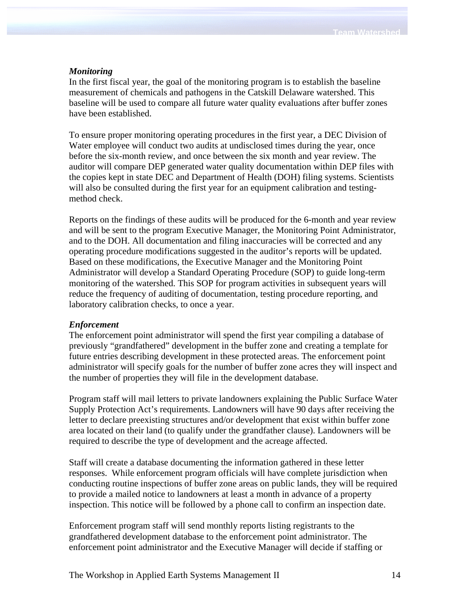#### *Monitoring*

In the first fiscal year, the goal of the monitoring program is to establish the baseline measurement of chemicals and pathogens in the Catskill Delaware watershed. This baseline will be used to compare all future water quality evaluations after buffer zones have been established.

To ensure proper monitoring operating procedures in the first year, a DEC Division of Water employee will conduct two audits at undisclosed times during the year, once before the six-month review, and once between the six month and year review. The auditor will compare DEP generated water quality documentation within DEP files with the copies kept in state DEC and Department of Health (DOH) filing systems. Scientists will also be consulted during the first year for an equipment calibration and testingmethod check.

Reports on the findings of these audits will be produced for the 6-month and year review and will be sent to the program Executive Manager, the Monitoring Point Administrator, and to the DOH. All documentation and filing inaccuracies will be corrected and any operating procedure modifications suggested in the auditor's reports will be updated. Based on these modifications, the Executive Manager and the Monitoring Point Administrator will develop a Standard Operating Procedure (SOP) to guide long-term monitoring of the watershed. This SOP for program activities in subsequent years will reduce the frequency of auditing of documentation, testing procedure reporting, and laboratory calibration checks, to once a year.

#### *Enforcement*

The enforcement point administrator will spend the first year compiling a database of previously "grandfathered" development in the buffer zone and creating a template for future entries describing development in these protected areas. The enforcement point administrator will specify goals for the number of buffer zone acres they will inspect and the number of properties they will file in the development database.

Program staff will mail letters to private landowners explaining the Public Surface Water Supply Protection Act's requirements. Landowners will have 90 days after receiving the letter to declare preexisting structures and/or development that exist within buffer zone area located on their land (to qualify under the grandfather clause). Landowners will be required to describe the type of development and the acreage affected.

Staff will create a database documenting the information gathered in these letter responses. While enforcement program officials will have complete jurisdiction when conducting routine inspections of buffer zone areas on public lands, they will be required to provide a mailed notice to landowners at least a month in advance of a property inspection. This notice will be followed by a phone call to confirm an inspection date.

Enforcement program staff will send monthly reports listing registrants to the grandfathered development database to the enforcement point administrator. The enforcement point administrator and the Executive Manager will decide if staffing or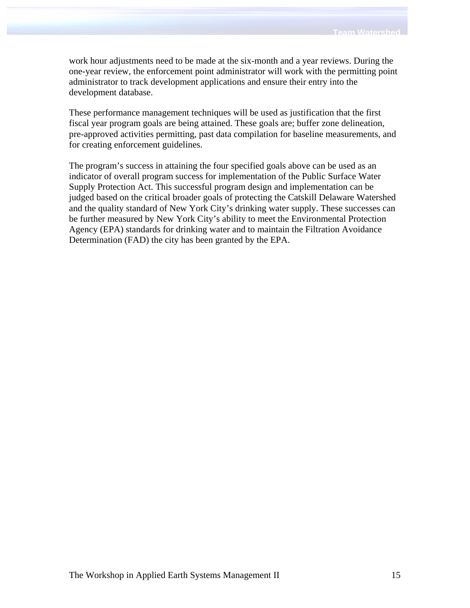work hour adjustments need to be made at the six-month and a year reviews. During the one-year review, the enforcement point administrator will work with the permitting point administrator to track development applications and ensure their entry into the development database.

These performance management techniques will be used as justification that the first fiscal year program goals are being attained. These goals are; buffer zone delineation, pre-approved activities permitting, past data compilation for baseline measurements, and for creating enforcement guidelines.

The program's success in attaining the four specified goals above can be used as an indicator of overall program success for implementation of the Public Surface Water Supply Protection Act. This successful program design and implementation can be judged based on the critical broader goals of protecting the Catskill Delaware Watershed and the quality standard of New York City's drinking water supply. These successes can be further measured by New York City's ability to meet the Environmental Protection Agency (EPA) standards for drinking water and to maintain the Filtration Avoidance Determination (FAD) the city has been granted by the EPA.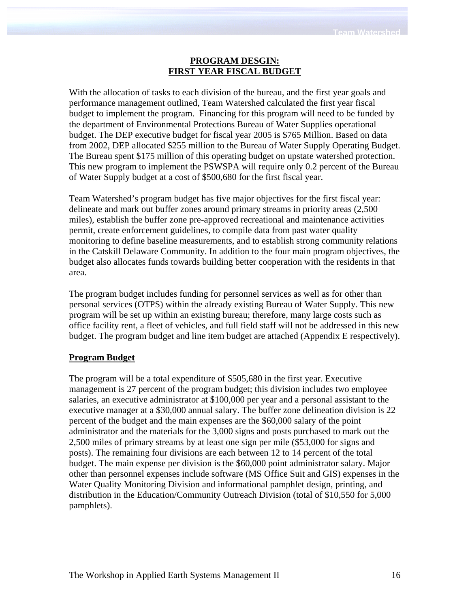# **PROGRAM DESGIN: FIRST YEAR FISCAL BUDGET**

With the allocation of tasks to each division of the bureau, and the first year goals and performance management outlined, Team Watershed calculated the first year fiscal budget to implement the program. Financing for this program will need to be funded by the department of Environmental Protections Bureau of Water Supplies operational budget. The DEP executive budget for fiscal year 2005 is \$765 Million. Based on data from 2002, DEP allocated \$255 million to the Bureau of Water Supply Operating Budget. The Bureau spent \$175 million of this operating budget on upstate watershed protection. This new program to implement the PSWSPA will require only 0.2 percent of the Bureau of Water Supply budget at a cost of \$500,680 for the first fiscal year.

Team Watershed's program budget has five major objectives for the first fiscal year: delineate and mark out buffer zones around primary streams in priority areas (2,500 miles), establish the buffer zone pre-approved recreational and maintenance activities permit, create enforcement guidelines, to compile data from past water quality monitoring to define baseline measurements, and to establish strong community relations in the Catskill Delaware Community. In addition to the four main program objectives, the budget also allocates funds towards building better cooperation with the residents in that area.

The program budget includes funding for personnel services as well as for other than personal services (OTPS) within the already existing Bureau of Water Supply. This new program will be set up within an existing bureau; therefore, many large costs such as office facility rent, a fleet of vehicles, and full field staff will not be addressed in this new budget. The program budget and line item budget are attached (Appendix E respectively).

# **Program Budget**

The program will be a total expenditure of \$505,680 in the first year. Executive management is 27 percent of the program budget; this division includes two employee salaries, an executive administrator at \$100,000 per year and a personal assistant to the executive manager at a \$30,000 annual salary. The buffer zone delineation division is 22 percent of the budget and the main expenses are the \$60,000 salary of the point administrator and the materials for the 3,000 signs and posts purchased to mark out the 2,500 miles of primary streams by at least one sign per mile (\$53,000 for signs and posts). The remaining four divisions are each between 12 to 14 percent of the total budget. The main expense per division is the \$60,000 point administrator salary. Major other than personnel expenses include software (MS Office Suit and GIS) expenses in the Water Quality Monitoring Division and informational pamphlet design, printing, and distribution in the Education/Community Outreach Division (total of \$10,550 for 5,000 pamphlets).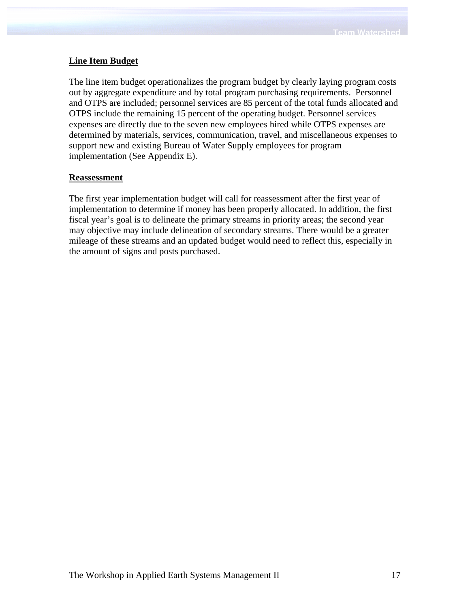# **Line Item Budget**

The line item budget operationalizes the program budget by clearly laying program costs out by aggregate expenditure and by total program purchasing requirements. Personnel and OTPS are included; personnel services are 85 percent of the total funds allocated and OTPS include the remaining 15 percent of the operating budget. Personnel services expenses are directly due to the seven new employees hired while OTPS expenses are determined by materials, services, communication, travel, and miscellaneous expenses to support new and existing Bureau of Water Supply employees for program implementation (See Appendix E).

## **Reassessment**

The first year implementation budget will call for reassessment after the first year of implementation to determine if money has been properly allocated. In addition, the first fiscal year's goal is to delineate the primary streams in priority areas; the second year may objective may include delineation of secondary streams. There would be a greater mileage of these streams and an updated budget would need to reflect this, especially in the amount of signs and posts purchased.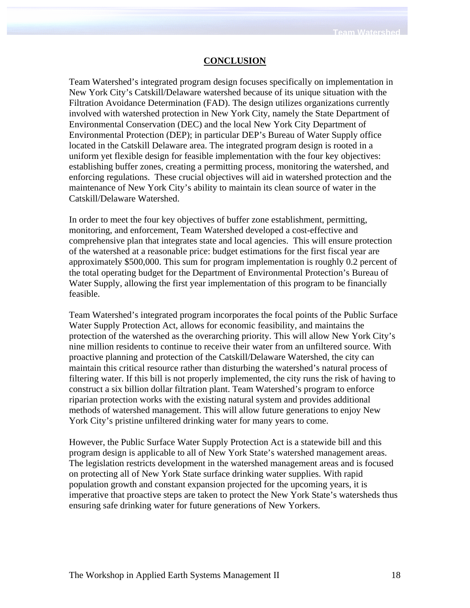#### **CONCLUSION**

Team Watershed's integrated program design focuses specifically on implementation in New York City's Catskill/Delaware watershed because of its unique situation with the Filtration Avoidance Determination (FAD). The design utilizes organizations currently involved with watershed protection in New York City, namely the State Department of Environmental Conservation (DEC) and the local New York City Department of Environmental Protection (DEP); in particular DEP's Bureau of Water Supply office located in the Catskill Delaware area. The integrated program design is rooted in a uniform yet flexible design for feasible implementation with the four key objectives: establishing buffer zones, creating a permitting process, monitoring the watershed, and enforcing regulations. These crucial objectives will aid in watershed protection and the maintenance of New York City's ability to maintain its clean source of water in the Catskill/Delaware Watershed.

In order to meet the four key objectives of buffer zone establishment, permitting, monitoring, and enforcement, Team Watershed developed a cost-effective and comprehensive plan that integrates state and local agencies. This will ensure protection of the watershed at a reasonable price: budget estimations for the first fiscal year are approximately \$500,000. This sum for program implementation is roughly 0.2 percent of the total operating budget for the Department of Environmental Protection's Bureau of Water Supply, allowing the first year implementation of this program to be financially feasible.

Team Watershed's integrated program incorporates the focal points of the Public Surface Water Supply Protection Act, allows for economic feasibility, and maintains the protection of the watershed as the overarching priority. This will allow New York City's nine million residents to continue to receive their water from an unfiltered source. With proactive planning and protection of the Catskill/Delaware Watershed, the city can maintain this critical resource rather than disturbing the watershed's natural process of filtering water. If this bill is not properly implemented, the city runs the risk of having to construct a six billion dollar filtration plant. Team Watershed's program to enforce riparian protection works with the existing natural system and provides additional methods of watershed management. This will allow future generations to enjoy New York City's pristine unfiltered drinking water for many years to come.

However, the Public Surface Water Supply Protection Act is a statewide bill and this program design is applicable to all of New York State's watershed management areas. The legislation restricts development in the watershed management areas and is focused on protecting all of New York State surface drinking water supplies. With rapid population growth and constant expansion projected for the upcoming years, it is imperative that proactive steps are taken to protect the New York State's watersheds thus ensuring safe drinking water for future generations of New Yorkers.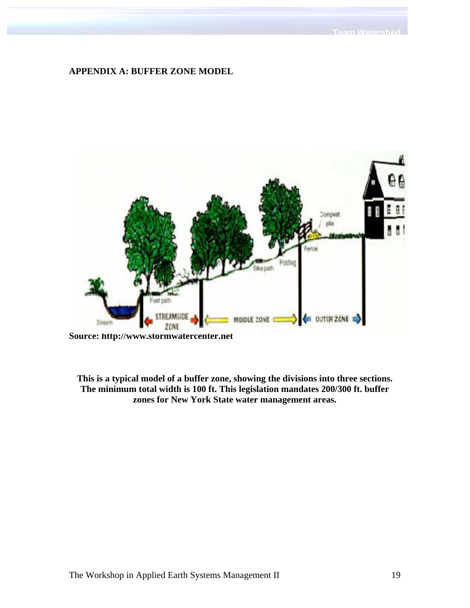#### **APPENDIX A: BUFFER ZONE MODEL**



**Source: http://www.stormwatercenter.net** 

**This is a typical model of a buffer zone, showing the divisions into three sections. The minimum total width is 100 ft. This legislation mandates 200/300 ft. buffer zones for New York State water management areas.**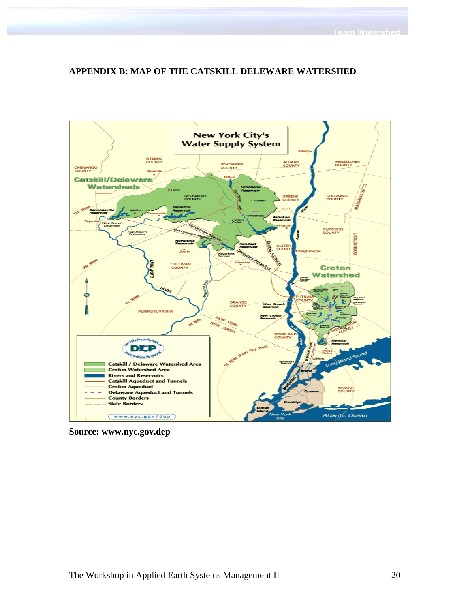# **APPENDIX B: MAP OF THE CATSKILL DELEWARE WATERSHED**



**Source: www.nyc.gov.dep**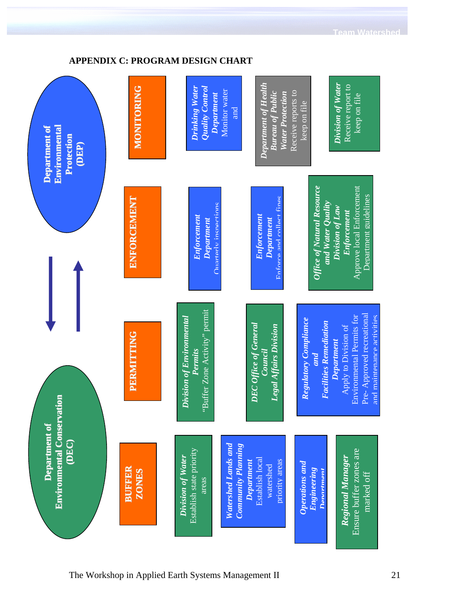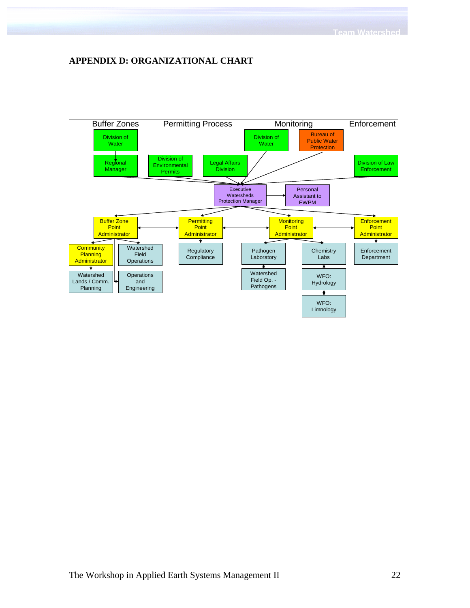# **APPENDIX D: ORGANIZATIONAL CHART**

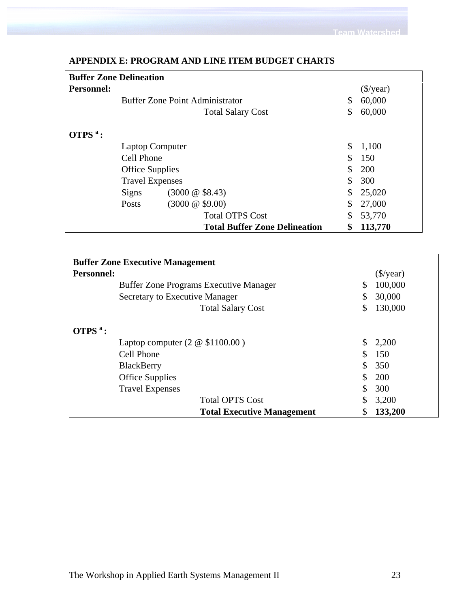|                   | <b>Buffer Zone Delineation</b>         |                      |                                      |            |                       |  |  |  |
|-------------------|----------------------------------------|----------------------|--------------------------------------|------------|-----------------------|--|--|--|
| <b>Personnel:</b> |                                        |                      |                                      |            | $(\frac{\sqrt{}}{2})$ |  |  |  |
|                   | <b>Buffer Zone Point Administrator</b> |                      |                                      | \$         | 60,000                |  |  |  |
|                   |                                        |                      | <b>Total Salary Cost</b>             | \$         | 60,000                |  |  |  |
| $OTPSa$ :         |                                        |                      |                                      |            |                       |  |  |  |
|                   | <b>Laptop Computer</b>                 |                      |                                      | \$         | 1,100                 |  |  |  |
|                   | Cell Phone                             |                      | \$                                   | 150        |                       |  |  |  |
|                   | <b>Office Supplies</b>                 |                      |                                      | <b>200</b> |                       |  |  |  |
|                   | <b>Travel Expenses</b>                 |                      |                                      | \$         | 300                   |  |  |  |
|                   | <b>Signs</b>                           | $(3000 \& $8.43)$    |                                      | \$         | 25,020                |  |  |  |
|                   | Posts                                  | $(3000 \ @ \ $9.00)$ |                                      | \$         | 27,000                |  |  |  |
|                   |                                        |                      | <b>Total OTPS Cost</b>               | \$         | 53,770                |  |  |  |
|                   |                                        |                      | <b>Total Buffer Zone Delineation</b> | \$         | 113,770               |  |  |  |

# **APPENDIX E: PROGRAM AND LINE ITEM BUDGET CHARTS**

| <b>Buffer Zone Executive Management</b>       |                       |         |
|-----------------------------------------------|-----------------------|---------|
| <b>Personnel:</b>                             | $(\frac{\sqrt{}}{2})$ |         |
| <b>Buffer Zone Programs Executive Manager</b> | \$                    | 100,000 |
| Secretary to Executive Manager                | \$                    | 30,000  |
| <b>Total Salary Cost</b>                      | \$                    | 130,000 |
| $OTPSa$ :                                     |                       |         |
| Laptop computer $(2 \otimes $1100.00)$        |                       | 2,200   |
| Cell Phone                                    |                       | 150     |
| <b>BlackBerry</b>                             |                       | 350     |
| <b>Office Supplies</b>                        |                       | 200     |
| <b>Travel Expenses</b>                        |                       | 300     |
| <b>Total OPTS Cost</b>                        | S                     | 3,200   |
| <b>Total Executive Management</b>             | S                     | 133,200 |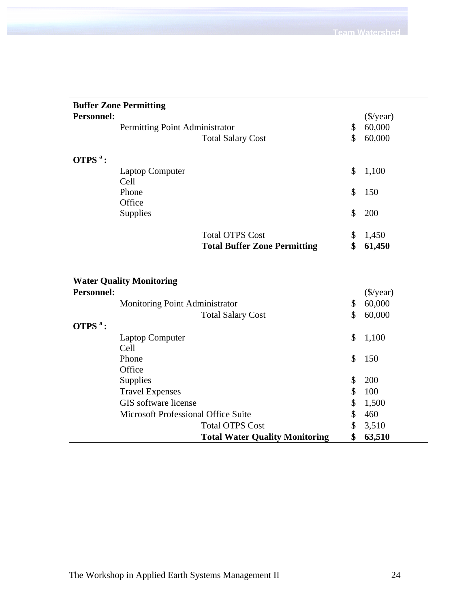| <b>Buffer Zone Permitting</b>         |                                |                                                               |          |                        |  |  |  |
|---------------------------------------|--------------------------------|---------------------------------------------------------------|----------|------------------------|--|--|--|
| <b>Personnel:</b>                     |                                |                                                               |          | $(\frac{\sqrt{2}}{2})$ |  |  |  |
|                                       | Permitting Point Administrator |                                                               | \$       | 60,000                 |  |  |  |
|                                       |                                | <b>Total Salary Cost</b>                                      | \$       | 60,000                 |  |  |  |
| OTPS $a$ :<br>Cell<br>Phone<br>Office | Laptop Computer                |                                                               | \$<br>\$ | 1,100<br>150           |  |  |  |
| <b>Supplies</b>                       |                                |                                                               | \$       | 200                    |  |  |  |
|                                       |                                | <b>Total OTPS Cost</b><br><b>Total Buffer Zone Permitting</b> | \$<br>\$ | 1,450<br>61,450        |  |  |  |

| <b>Water Quality Monitoring</b>       |    |                   |  |  |  |  |  |
|---------------------------------------|----|-------------------|--|--|--|--|--|
| <b>Personnel:</b>                     |    | ( <i>§</i> /year) |  |  |  |  |  |
| <b>Monitoring Point Administrator</b> | \$ | 60,000            |  |  |  |  |  |
| <b>Total Salary Cost</b>              | \$ | 60,000            |  |  |  |  |  |
| OTPS <sup>a</sup> :                   |    |                   |  |  |  |  |  |
| <b>Laptop Computer</b>                | \$ | 1,100             |  |  |  |  |  |
| Cell                                  |    |                   |  |  |  |  |  |
| Phone                                 | \$ | 150               |  |  |  |  |  |
| Office                                |    |                   |  |  |  |  |  |
| Supplies                              | \$ | 200               |  |  |  |  |  |
| <b>Travel Expenses</b>                | \$ | 100               |  |  |  |  |  |
| GIS software license                  | \$ | 1,500             |  |  |  |  |  |
| Microsoft Professional Office Suite   | \$ | 460               |  |  |  |  |  |
| <b>Total OTPS Cost</b>                | \$ | 3,510             |  |  |  |  |  |
| <b>Total Water Quality Monitoring</b> | \$ | 63,510            |  |  |  |  |  |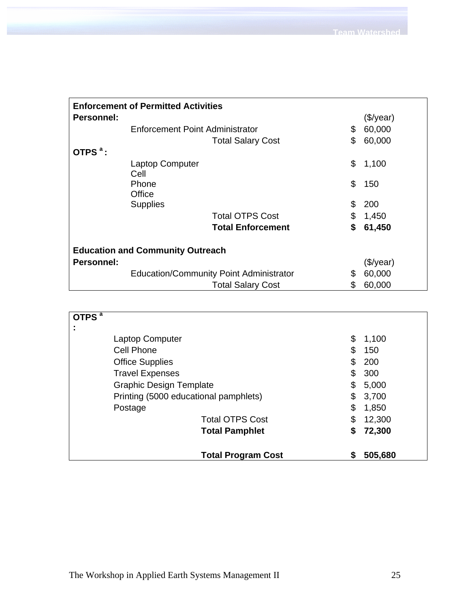| <b>Enforcement of Permitted Activities</b> |                                                |                          |    |              |  |  |  |
|--------------------------------------------|------------------------------------------------|--------------------------|----|--------------|--|--|--|
| <b>Personnel:</b>                          |                                                |                          |    | (\$/year)    |  |  |  |
|                                            | Enforcement Point Administrator                |                          | \$ | 60,000       |  |  |  |
|                                            |                                                | <b>Total Salary Cost</b> | \$ | 60,000       |  |  |  |
| OTPS <sup>a</sup> :                        |                                                |                          |    |              |  |  |  |
|                                            | <b>Laptop Computer</b><br>Cell                 |                          | \$ | 1,100        |  |  |  |
|                                            | Phone<br>Office                                |                          | \$ | 150          |  |  |  |
|                                            | <b>Supplies</b>                                |                          | \$ | 200          |  |  |  |
|                                            |                                                | <b>Total OTPS Cost</b>   | \$ | 1,450        |  |  |  |
|                                            |                                                | <b>Total Enforcement</b> | \$ | 61,450       |  |  |  |
|                                            | <b>Education and Community Outreach</b>        |                          |    |              |  |  |  |
| Personnel:                                 |                                                |                          |    | $(\$$ /year) |  |  |  |
|                                            | <b>Education/Community Point Administrator</b> |                          | \$ | 60,000       |  |  |  |
|                                            |                                                | <b>Total Salary Cost</b> | \$ | 60,000       |  |  |  |

| OTPS <sup>a</sup> |                                       |    |         |
|-------------------|---------------------------------------|----|---------|
| $\blacksquare$    |                                       |    |         |
|                   | <b>Laptop Computer</b>                | \$ | 1,100   |
|                   | Cell Phone                            | \$ | 150     |
|                   | <b>Office Supplies</b>                | \$ | 200     |
|                   | <b>Travel Expenses</b>                | \$ | 300     |
|                   | <b>Graphic Design Template</b>        | \$ | 5,000   |
|                   | Printing (5000 educational pamphlets) | \$ | 3,700   |
|                   | Postage                               | \$ | 1,850   |
|                   | <b>Total OTPS Cost</b>                | \$ | 12,300  |
|                   | <b>Total Pamphlet</b>                 | S  | 72,300  |
|                   | <b>Total Program Cost</b>             |    | 505,680 |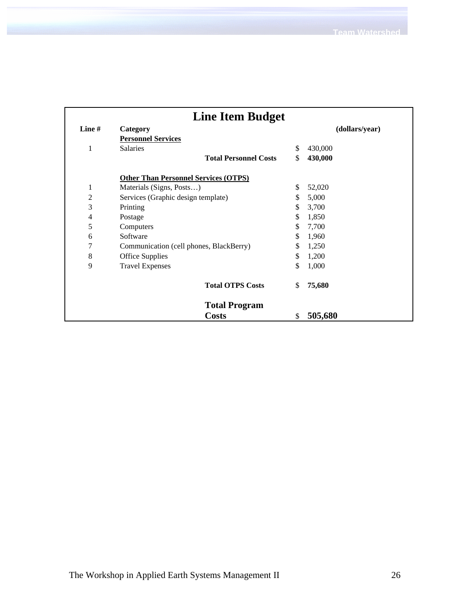| <b>Line Item Budget</b> |                                             |    |                |  |  |
|-------------------------|---------------------------------------------|----|----------------|--|--|
| Line $#$                | Category                                    |    | (dollars/year) |  |  |
|                         | <b>Personnel Services</b>                   |    |                |  |  |
| 1                       | <b>Salaries</b>                             | \$ | 430,000        |  |  |
|                         | <b>Total Personnel Costs</b>                | \$ | 430,000        |  |  |
|                         | <b>Other Than Personnel Services (OTPS)</b> |    |                |  |  |
| 1                       | Materials (Signs, Posts)                    | \$ | 52,020         |  |  |
| 2                       | Services (Graphic design template)          | \$ | 5,000          |  |  |
| 3                       | Printing                                    | \$ | 3,700          |  |  |
| 4                       | Postage                                     | \$ | 1,850          |  |  |
| 5                       | Computers                                   | \$ | 7,700          |  |  |
| 6                       | Software                                    | \$ | 1,960          |  |  |
| 7                       | Communication (cell phones, BlackBerry)     | \$ | 1,250          |  |  |
| 8                       | <b>Office Supplies</b>                      | \$ | 1,200          |  |  |
| 9                       | <b>Travel Expenses</b>                      | \$ | 1,000          |  |  |
|                         | <b>Total OTPS Costs</b>                     | \$ | 75,680         |  |  |
|                         | <b>Total Program</b>                        |    |                |  |  |
|                         | <b>Costs</b>                                | \$ | 505,680        |  |  |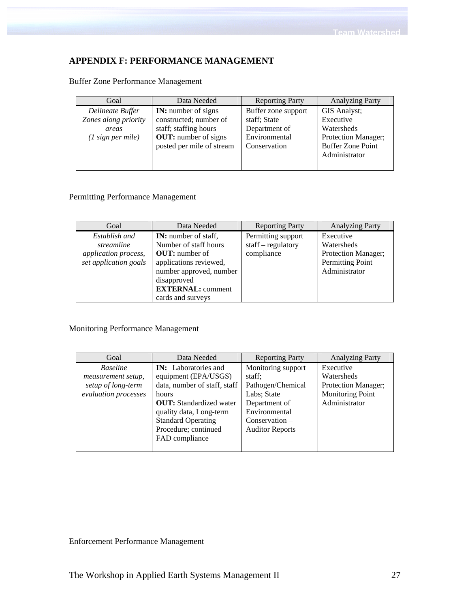# **APPENDIX F: PERFORMANCE MANAGEMENT**

| Goal                 | Data Needed                 | <b>Reporting Party</b> | <b>Analyzing Party</b>   |
|----------------------|-----------------------------|------------------------|--------------------------|
| Delineate Buffer     | <b>IN:</b> number of signs  | Buffer zone support    | GIS Analyst;             |
| Zones along priority | constructed; number of      | staff; State           | Executive                |
| areas                | staff; staffing hours       | Department of          | Watersheds               |
| $(1$ sign per mile)  | <b>OUT:</b> number of signs | Environmental          | Protection Manager;      |
|                      | posted per mile of stream   | Conservation           | <b>Buffer Zone Point</b> |
|                      |                             |                        | Administrator            |
|                      |                             |                        |                          |

# Buffer Zone Performance Management

# Permitting Performance Management

| Goal                  | Data Needed                 | <b>Reporting Party</b> | <b>Analyzing Party</b> |
|-----------------------|-----------------------------|------------------------|------------------------|
| Establish and         | <b>IN:</b> number of staff, | Permitting support     | Executive              |
| streamline            | Number of staff hours       | $staff - regulatory$   | Watersheds             |
| application process,  | <b>OUT:</b> number of       | compliance             | Protection Manager;    |
| set application goals | applications reviewed,      |                        | Permitting Point       |
|                       | number approved, number     |                        | Administrator          |
|                       | disapproved                 |                        |                        |
|                       | <b>EXTERNAL: comment</b>    |                        |                        |
|                       | cards and surveys           |                        |                        |

Monitoring Performance Management

| Goal                                  | Data Needed                                         | <b>Reporting Party</b>       | <b>Analyzing Party</b>  |
|---------------------------------------|-----------------------------------------------------|------------------------------|-------------------------|
| <b>Baseline</b><br>measurement setup, | <b>IN:</b> Laboratories and<br>equipment (EPA/USGS) | Monitoring support<br>staff; | Executive<br>Watersheds |
| setup of long-term                    | data, number of staff, staff                        | Pathogen/Chemical            | Protection Manager;     |
| evaluation processes                  | hours                                               | Labs; State                  | Monitoring Point        |
|                                       | <b>OUT:</b> Standardized water                      | Department of                | Administrator           |
|                                       | quality data, Long-term                             | Environmental                |                         |
|                                       | <b>Standard Operating</b>                           | $Conservation -$             |                         |
|                                       | Procedure; continued                                | <b>Auditor Reports</b>       |                         |
|                                       | FAD compliance                                      |                              |                         |
|                                       |                                                     |                              |                         |

Enforcement Performance Management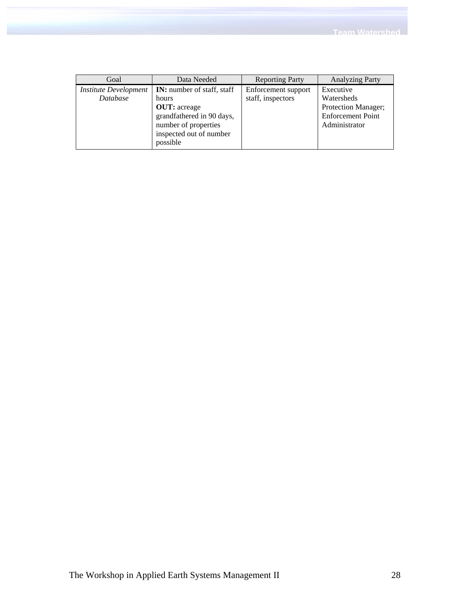| Goal                         | Data Needed                       | <b>Reporting Party</b> | <b>Analyzing Party</b>   |
|------------------------------|-----------------------------------|------------------------|--------------------------|
| <b>Institute Development</b> | <b>IN:</b> number of staff, staff | Enforcement support    | Executive                |
| Database                     | hours                             | staff, inspectors      | Watersheds               |
|                              | <b>OUT:</b> acreage               |                        | Protection Manager;      |
|                              | grandfathered in 90 days,         |                        | <b>Enforcement Point</b> |
|                              | number of properties              |                        | Administrator            |
|                              | inspected out of number           |                        |                          |
|                              | possible                          |                        |                          |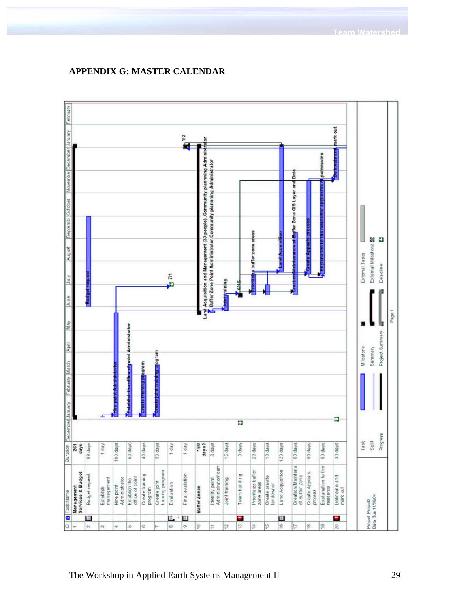

# **APPENDIX G: MASTER CALENDAR**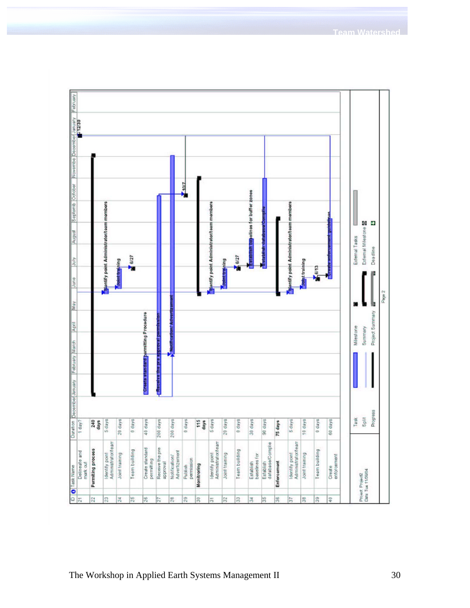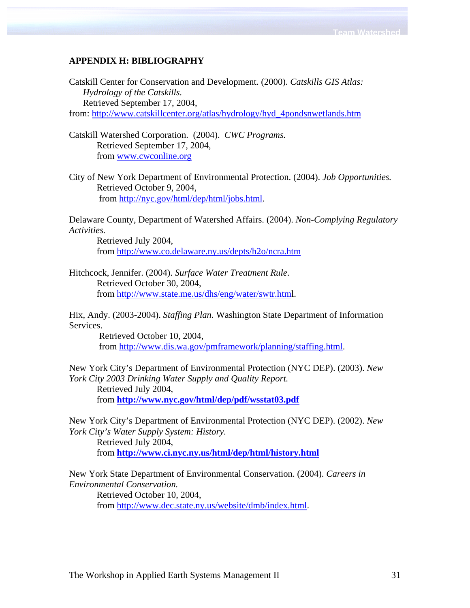# **APPENDIX H: BIBLIOGRAPHY**

Catskill Center for Conservation and Development. (2000). *Catskills GIS Atlas: Hydrology of the Catskills.* Retrieved September 17, 2004, from: http://www.catskillcenter.org/atlas/hydrology/hyd\_4pondsnwetlands.htm

Catskill Watershed Corporation. (2004). *CWC Programs.* Retrieved September 17, 2004, from www.cwconline.org

City of New York Department of Environmental Protection. (2004). *Job Opportunities.* Retrieved October 9, 2004, from http://nyc.gov/html/dep/html/jobs.html.

Delaware County, Department of Watershed Affairs. (2004). *Non-Complying Regulatory Activities.*

 Retrieved July 2004, from http://www.co.delaware.ny.us/depts/h2o/ncra.htm

Hitchcock, Jennifer. (2004). *Surface Water Treatment Rule*. Retrieved October 30, 2004, from http://www.state.me.us/dhs/eng/water/swtr.html.

Hix, Andy. (2003-2004). *Staffing Plan.* Washington State Department of Information Services.

 Retrieved October 10, 2004, from http://www.dis.wa.gov/pmframework/planning/staffing.html.

New York City's Department of Environmental Protection (NYC DEP). (2003). *New York City 2003 Drinking Water Supply and Quality Report.*  Retrieved July 2004, from **http://www.nyc.gov/html/dep/pdf/wsstat03.pdf**

New York City's Department of Environmental Protection (NYC DEP). (2002). *New York City's Water Supply System: History.*  Retrieved July 2004, from **http://www.ci.nyc.ny.us/html/dep/html/history.html**

New York State Department of Environmental Conservation. (2004). *Careers in Environmental Conservation.*  Retrieved October 10, 2004, from http://www.dec.state.ny.us/website/dmb/index.html.